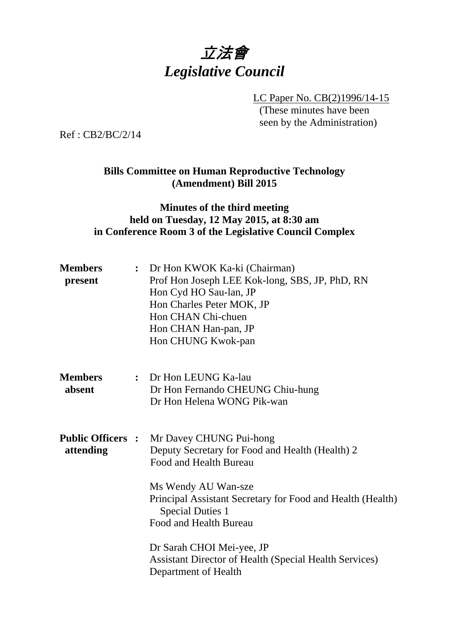# 立法會 *Legislative Council*

LC Paper No. CB(2)1996/14-15 (These minutes have been seen by the Administration)

Ref : CB2/BC/2/14

## **Bills Committee on Human Reproductive Technology (Amendment) Bill 2015**

## **Minutes of the third meeting held on Tuesday, 12 May 2015, at 8:30 am in Conference Room 3 of the Legislative Council Complex**

| <b>Members</b><br>present             | $\ddot{\cdot}$ | Dr Hon KWOK Ka-ki (Chairman)<br>Prof Hon Joseph LEE Kok-long, SBS, JP, PhD, RN<br>Hon Cyd HO Sau-lan, JP<br>Hon Charles Peter MOK, JP<br>Hon CHAN Chi-chuen<br>Hon CHAN Han-pan, JP<br>Hon CHUNG Kwok-pan                                                                                                                                                            |
|---------------------------------------|----------------|----------------------------------------------------------------------------------------------------------------------------------------------------------------------------------------------------------------------------------------------------------------------------------------------------------------------------------------------------------------------|
| <b>Members</b><br>absent              |                | : Dr Hon LEUNG Ka-lau<br>Dr Hon Fernando CHEUNG Chiu-hung<br>Dr Hon Helena WONG Pik-wan                                                                                                                                                                                                                                                                              |
| <b>Public Officers :</b><br>attending |                | Mr Davey CHUNG Pui-hong<br>Deputy Secretary for Food and Health (Health) 2<br>Food and Health Bureau<br>Ms Wendy AU Wan-sze<br>Principal Assistant Secretary for Food and Health (Health)<br><b>Special Duties 1</b><br>Food and Health Bureau<br>Dr Sarah CHOI Mei-yee, JP<br><b>Assistant Director of Health (Special Health Services)</b><br>Department of Health |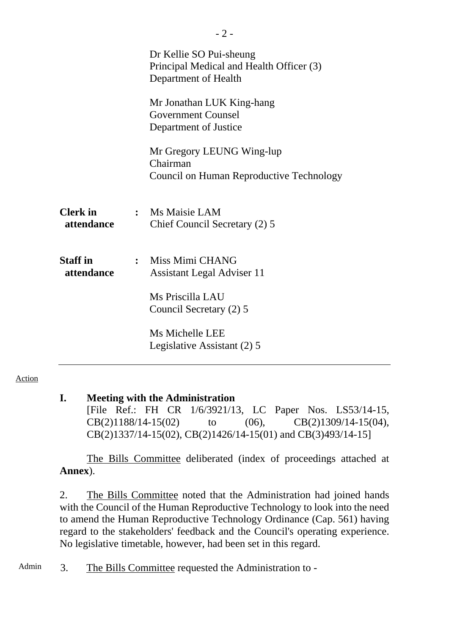|                               | Dr Kellie SO Pui-sheung<br>Principal Medical and Health Officer (3)<br>Department of Health |
|-------------------------------|---------------------------------------------------------------------------------------------|
|                               | Mr Jonathan LUK King-hang<br><b>Government Counsel</b><br>Department of Justice             |
|                               | Mr Gregory LEUNG Wing-lup<br>Chairman<br>Council on Human Reproductive Technology           |
| <b>Clerk</b> in<br>attendance | : Ms Maisie LAM<br>Chief Council Secretary (2) 5                                            |
| <b>Staff</b> in<br>attendance | : Miss Mimi CHANG<br><b>Assistant Legal Adviser 11</b>                                      |
|                               | Ms Priscilla LAU<br>Council Secretary (2) 5                                                 |
|                               | Ms Michelle LEE<br>Legislative Assistant (2) 5                                              |

#### Action

### **I. Meeting with the Administration**

[File Ref.: FH CR 1/6/3921/13, LC Paper Nos. LS53/14-15, CB(2)1188/14-15(02) to (06), CB(2)1309/14-15(04), CB(2)1337/14-15(02), CB(2)1426/14-15(01) and CB(3)493/14-15]

The Bills Committee deliberated (index of proceedings attached at **Annex**).

2. The Bills Committee noted that the Administration had joined hands with the Council of the Human Reproductive Technology to look into the need to amend the Human Reproductive Technology Ordinance (Cap. 561) having regard to the stakeholders' feedback and the Council's operating experience. No legislative timetable, however, had been set in this regard.

Admin 3. The Bills Committee requested the Administration to -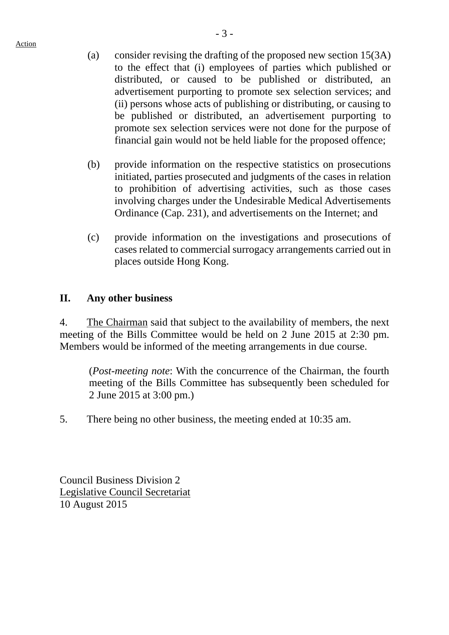Action

- (a) consider revising the drafting of the proposed new section 15(3A) to the effect that (i) employees of parties which published or distributed, or caused to be published or distributed, an advertisement purporting to promote sex selection services; and (ii) persons whose acts of publishing or distributing, or causing to be published or distributed, an advertisement purporting to promote sex selection services were not done for the purpose of financial gain would not be held liable for the proposed offence;
- (b) provide information on the respective statistics on prosecutions initiated, parties prosecuted and judgments of the cases in relation to prohibition of advertising activities, such as those cases involving charges under the Undesirable Medical Advertisements Ordinance (Cap. 231), and advertisements on the Internet; and
- (c) provide information on the investigations and prosecutions of cases related to commercial surrogacy arrangements carried out in places outside Hong Kong.

## **II. Any other business**

4. The Chairman said that subject to the availability of members, the next meeting of the Bills Committee would be held on 2 June 2015 at 2:30 pm. Members would be informed of the meeting arrangements in due course.

(*Post-meeting note*: With the concurrence of the Chairman, the fourth meeting of the Bills Committee has subsequently been scheduled for 2 June 2015 at 3:00 pm.)

5. There being no other business, the meeting ended at 10:35 am.

Council Business Division 2 Legislative Council Secretariat 10 August 2015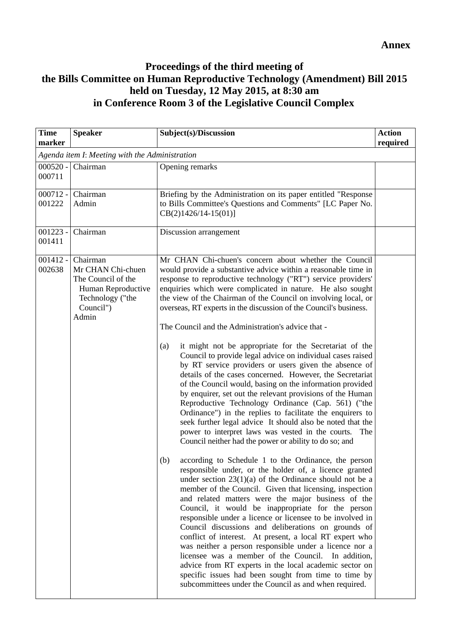## **Proceedings of the third meeting of the Bills Committee on Human Reproductive Technology (Amendment) Bill 2015 held on Tuesday, 12 May 2015, at 8:30 am in Conference Room 3 of the Legislative Council Complex**

| <b>Speaker</b>                                                                                                      | Subject(s)/Discussion                                                                                                                                                                                                                                                                                                                                                                                                                                                                                                                                                                                                                                                                                                                                                                                                                                                                                                                                                                                                                                                                                                                                                                                                                                                                                                                                                                                                                                                                                                                                                                                                                                                                                                                                                                                                                                                                                                                                                         | <b>Action</b><br>required                      |
|---------------------------------------------------------------------------------------------------------------------|-------------------------------------------------------------------------------------------------------------------------------------------------------------------------------------------------------------------------------------------------------------------------------------------------------------------------------------------------------------------------------------------------------------------------------------------------------------------------------------------------------------------------------------------------------------------------------------------------------------------------------------------------------------------------------------------------------------------------------------------------------------------------------------------------------------------------------------------------------------------------------------------------------------------------------------------------------------------------------------------------------------------------------------------------------------------------------------------------------------------------------------------------------------------------------------------------------------------------------------------------------------------------------------------------------------------------------------------------------------------------------------------------------------------------------------------------------------------------------------------------------------------------------------------------------------------------------------------------------------------------------------------------------------------------------------------------------------------------------------------------------------------------------------------------------------------------------------------------------------------------------------------------------------------------------------------------------------------------------|------------------------------------------------|
|                                                                                                                     |                                                                                                                                                                                                                                                                                                                                                                                                                                                                                                                                                                                                                                                                                                                                                                                                                                                                                                                                                                                                                                                                                                                                                                                                                                                                                                                                                                                                                                                                                                                                                                                                                                                                                                                                                                                                                                                                                                                                                                               |                                                |
| Chairman                                                                                                            | Opening remarks                                                                                                                                                                                                                                                                                                                                                                                                                                                                                                                                                                                                                                                                                                                                                                                                                                                                                                                                                                                                                                                                                                                                                                                                                                                                                                                                                                                                                                                                                                                                                                                                                                                                                                                                                                                                                                                                                                                                                               |                                                |
| Chairman<br>Admin                                                                                                   | Briefing by the Administration on its paper entitled "Response<br>to Bills Committee's Questions and Comments" [LC Paper No.<br>$CB(2)1426/14-15(01)$ ]                                                                                                                                                                                                                                                                                                                                                                                                                                                                                                                                                                                                                                                                                                                                                                                                                                                                                                                                                                                                                                                                                                                                                                                                                                                                                                                                                                                                                                                                                                                                                                                                                                                                                                                                                                                                                       |                                                |
| Chairman                                                                                                            | Discussion arrangement                                                                                                                                                                                                                                                                                                                                                                                                                                                                                                                                                                                                                                                                                                                                                                                                                                                                                                                                                                                                                                                                                                                                                                                                                                                                                                                                                                                                                                                                                                                                                                                                                                                                                                                                                                                                                                                                                                                                                        |                                                |
| Chairman<br>Mr CHAN Chi-chuen<br>The Council of the<br>Human Reproductive<br>Technology ("the<br>Council")<br>Admin | Mr CHAN Chi-chuen's concern about whether the Council<br>would provide a substantive advice within a reasonable time in<br>response to reproductive technology ("RT") service providers'<br>enquiries which were complicated in nature. He also sought<br>the view of the Chairman of the Council on involving local, or<br>overseas, RT experts in the discussion of the Council's business.<br>The Council and the Administration's advice that -<br>it might not be appropriate for the Secretariat of the<br>(a)<br>Council to provide legal advice on individual cases raised<br>by RT service providers or users given the absence of<br>details of the cases concerned. However, the Secretariat<br>of the Council would, basing on the information provided<br>by enquirer, set out the relevant provisions of the Human<br>Reproductive Technology Ordinance (Cap. 561) ("the<br>Ordinance") in the replies to facilitate the enquirers to<br>seek further legal advice It should also be noted that the<br>power to interpret laws was vested in the courts.<br>The<br>Council neither had the power or ability to do so; and<br>(b)<br>according to Schedule 1 to the Ordinance, the person<br>responsible under, or the holder of, a licence granted<br>under section $23(1)(a)$ of the Ordinance should not be a<br>member of the Council. Given that licensing, inspection<br>and related matters were the major business of the<br>Council, it would be inappropriate for the person<br>responsible under a licence or licensee to be involved in<br>Council discussions and deliberations on grounds of<br>conflict of interest. At present, a local RT expert who<br>was neither a person responsible under a licence nor a<br>licensee was a member of the Council. In addition,<br>advice from RT experts in the local academic sector on<br>specific issues had been sought from time to time by<br>subcommittees under the Council as and when required. |                                                |
|                                                                                                                     |                                                                                                                                                                                                                                                                                                                                                                                                                                                                                                                                                                                                                                                                                                                                                                                                                                                                                                                                                                                                                                                                                                                                                                                                                                                                                                                                                                                                                                                                                                                                                                                                                                                                                                                                                                                                                                                                                                                                                                               | Agenda item I: Meeting with the Administration |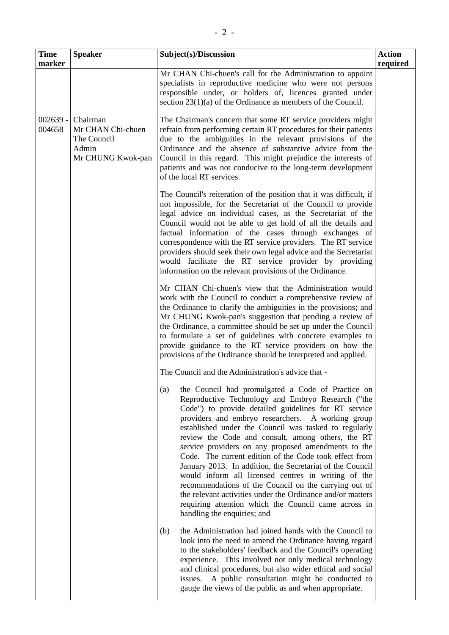| <b>Time</b><br>marker | <b>Speaker</b>                                                             | Subject(s)/Discussion                                                                                                                                                                                                                                                                                                                                                                                                                                                                                                                                                                                                                                                                                                                                                                                                                             | <b>Action</b><br>required |
|-----------------------|----------------------------------------------------------------------------|---------------------------------------------------------------------------------------------------------------------------------------------------------------------------------------------------------------------------------------------------------------------------------------------------------------------------------------------------------------------------------------------------------------------------------------------------------------------------------------------------------------------------------------------------------------------------------------------------------------------------------------------------------------------------------------------------------------------------------------------------------------------------------------------------------------------------------------------------|---------------------------|
|                       |                                                                            | Mr CHAN Chi-chuen's call for the Administration to appoint<br>specialists in reproductive medicine who were not persons<br>responsible under, or holders of, licences granted under<br>section $23(1)(a)$ of the Ordinance as members of the Council.                                                                                                                                                                                                                                                                                                                                                                                                                                                                                                                                                                                             |                           |
| $002639 -$<br>004658  | Chairman<br>Mr CHAN Chi-chuen<br>The Council<br>Admin<br>Mr CHUNG Kwok-pan | The Chairman's concern that some RT service providers might<br>refrain from performing certain RT procedures for their patients<br>due to the ambiguities in the relevant provisions of the<br>Ordinance and the absence of substantive advice from the<br>Council in this regard. This might prejudice the interests of<br>patients and was not conducive to the long-term development<br>of the local RT services.                                                                                                                                                                                                                                                                                                                                                                                                                              |                           |
|                       |                                                                            | The Council's reiteration of the position that it was difficult, if<br>not impossible, for the Secretariat of the Council to provide<br>legal advice on individual cases, as the Secretariat of the<br>Council would not be able to get hold of all the details and<br>factual information of the cases through exchanges of<br>correspondence with the RT service providers. The RT service<br>providers should seek their own legal advice and the Secretariat<br>would facilitate the RT service provider by providing<br>information on the relevant provisions of the Ordinance.                                                                                                                                                                                                                                                             |                           |
|                       |                                                                            | Mr CHAN Chi-chuen's view that the Administration would<br>work with the Council to conduct a comprehensive review of<br>the Ordinance to clarify the ambiguities in the provisions; and<br>Mr CHUNG Kwok-pan's suggestion that pending a review of<br>the Ordinance, a committee should be set up under the Council<br>to formulate a set of guidelines with concrete examples to<br>provide guidance to the RT service providers on how the<br>provisions of the Ordinance should be interpreted and applied.                                                                                                                                                                                                                                                                                                                                    |                           |
|                       |                                                                            | The Council and the Administration's advice that -<br>the Council had promulgated a Code of Practice on<br>(a)<br>Reproductive Technology and Embryo Research ("the<br>Code") to provide detailed guidelines for RT service<br>providers and embryo researchers. A working group<br>established under the Council was tasked to regularly<br>review the Code and consult, among others, the RT<br>service providers on any proposed amendments to the<br>Code. The current edition of the Code took effect from<br>January 2013. In addition, the Secretariat of the Council<br>would inform all licensed centres in writing of the<br>recommendations of the Council on the carrying out of<br>the relevant activities under the Ordinance and/or matters<br>requiring attention which the Council came across in<br>handling the enquiries; and |                           |
|                       |                                                                            | the Administration had joined hands with the Council to<br>(b)<br>look into the need to amend the Ordinance having regard<br>to the stakeholders' feedback and the Council's operating<br>experience. This involved not only medical technology<br>and clinical procedures, but also wider ethical and social<br>A public consultation might be conducted to<br>issues.<br>gauge the views of the public as and when appropriate.                                                                                                                                                                                                                                                                                                                                                                                                                 |                           |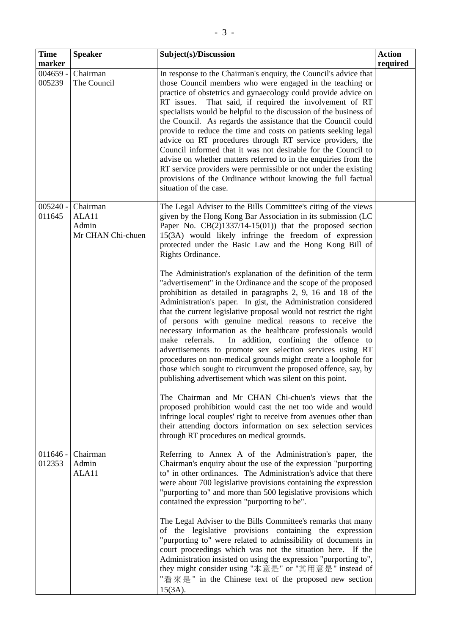| <b>Time</b>          | <b>Speaker</b>                                  | Subject(s)/Discussion                                                                                                                                                                                                                                                                                                                                                                                                                                                                                                                                                                                                                                                                                                                                                                                                               | <b>Action</b> |
|----------------------|-------------------------------------------------|-------------------------------------------------------------------------------------------------------------------------------------------------------------------------------------------------------------------------------------------------------------------------------------------------------------------------------------------------------------------------------------------------------------------------------------------------------------------------------------------------------------------------------------------------------------------------------------------------------------------------------------------------------------------------------------------------------------------------------------------------------------------------------------------------------------------------------------|---------------|
| marker               |                                                 |                                                                                                                                                                                                                                                                                                                                                                                                                                                                                                                                                                                                                                                                                                                                                                                                                                     | required      |
| $004659 -$<br>005239 | Chairman<br>The Council                         | In response to the Chairman's enquiry, the Council's advice that<br>those Council members who were engaged in the teaching or<br>practice of obstetrics and gynaecology could provide advice on<br>That said, if required the involvement of RT<br>RT issues.<br>specialists would be helpful to the discussion of the business of<br>the Council. As regards the assistance that the Council could<br>provide to reduce the time and costs on patients seeking legal<br>advice on RT procedures through RT service providers, the<br>Council informed that it was not desirable for the Council to<br>advise on whether matters referred to in the enquiries from the<br>RT service providers were permissible or not under the existing<br>provisions of the Ordinance without knowing the full factual<br>situation of the case. |               |
| $005240 -$<br>011645 | Chairman<br>ALA11<br>Admin<br>Mr CHAN Chi-chuen | The Legal Adviser to the Bills Committee's citing of the views<br>given by the Hong Kong Bar Association in its submission (LC<br>Paper No. $CB(2)1337/14-15(01)$ that the proposed section<br>15(3A) would likely infringe the freedom of expression<br>protected under the Basic Law and the Hong Kong Bill of<br>Rights Ordinance.                                                                                                                                                                                                                                                                                                                                                                                                                                                                                               |               |
|                      |                                                 | The Administration's explanation of the definition of the term<br>"advertisement" in the Ordinance and the scope of the proposed<br>prohibition as detailed in paragraphs 2, 9, 16 and 18 of the<br>Administration's paper. In gist, the Administration considered<br>that the current legislative proposal would not restrict the right<br>of persons with genuine medical reasons to receive the<br>necessary information as the healthcare professionals would<br>make referrals.<br>In addition, confining the offence to<br>advertisements to promote sex selection services using RT<br>procedures on non-medical grounds might create a loophole for<br>those which sought to circumvent the proposed offence, say, by<br>publishing advertisement which was silent on this point.                                           |               |
|                      |                                                 | The Chairman and Mr CHAN Chi-chuen's views that the<br>proposed prohibition would cast the net too wide and would<br>infringe local couples' right to receive from avenues other than<br>their attending doctors information on sex selection services<br>through RT procedures on medical grounds.                                                                                                                                                                                                                                                                                                                                                                                                                                                                                                                                 |               |
| $011646 -$<br>012353 | Chairman<br>Admin<br>ALA11                      | Referring to Annex A of the Administration's paper, the<br>Chairman's enquiry about the use of the expression "purporting<br>to" in other ordinances. The Administration's advice that there<br>were about 700 legislative provisions containing the expression<br>"purporting to" and more than 500 legislative provisions which<br>contained the expression "purporting to be".                                                                                                                                                                                                                                                                                                                                                                                                                                                   |               |
|                      |                                                 | The Legal Adviser to the Bills Committee's remarks that many<br>of the legislative provisions containing the expression<br>"purporting to" were related to admissibility of documents in<br>court proceedings which was not the situation here. If the<br>Administration insisted on using the expression "purporting to",<br>they might consider using "本意是" or "其用意是" instead of<br>"看來是" in the Chinese text of the proposed new section<br>$15(3A)$ .                                                                                                                                                                                                                                                                                                                                                                           |               |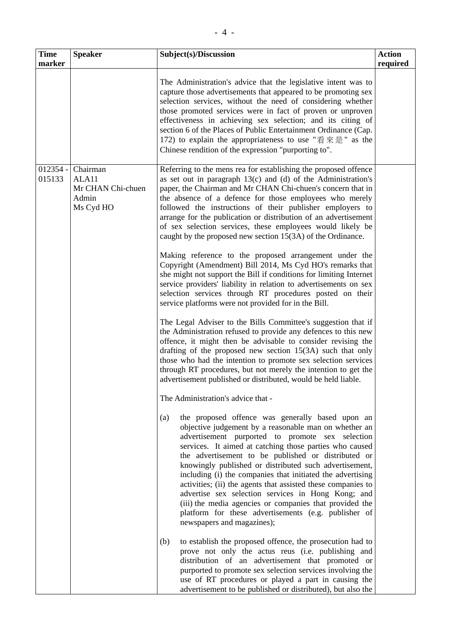| <b>Time</b>          | <b>Speaker</b>                                               | Subject(s)/Discussion                                                                                                                                                                                                                                                                                                                                                                                                                                                                                                                                                                                                                                                                 | <b>Action</b> |
|----------------------|--------------------------------------------------------------|---------------------------------------------------------------------------------------------------------------------------------------------------------------------------------------------------------------------------------------------------------------------------------------------------------------------------------------------------------------------------------------------------------------------------------------------------------------------------------------------------------------------------------------------------------------------------------------------------------------------------------------------------------------------------------------|---------------|
| marker               |                                                              |                                                                                                                                                                                                                                                                                                                                                                                                                                                                                                                                                                                                                                                                                       | required      |
|                      |                                                              | The Administration's advice that the legislative intent was to<br>capture those advertisements that appeared to be promoting sex<br>selection services, without the need of considering whether<br>those promoted services were in fact of proven or unproven<br>effectiveness in achieving sex selection; and its citing of<br>section 6 of the Places of Public Entertainment Ordinance (Cap.<br>172) to explain the appropriateness to use "看來是" as the<br>Chinese rendition of the expression "purporting to".                                                                                                                                                                    |               |
| $012354 -$<br>015133 | Chairman<br>ALA11<br>Mr CHAN Chi-chuen<br>Admin<br>Ms Cyd HO | Referring to the mens rea for establishing the proposed offence<br>as set out in paragraph $13(c)$ and (d) of the Administration's<br>paper, the Chairman and Mr CHAN Chi-chuen's concern that in<br>the absence of a defence for those employees who merely<br>followed the instructions of their publisher employers to<br>arrange for the publication or distribution of an advertisement<br>of sex selection services, these employees would likely be<br>caught by the proposed new section 15(3A) of the Ordinance.                                                                                                                                                             |               |
|                      |                                                              | Making reference to the proposed arrangement under the<br>Copyright (Amendment) Bill 2014, Ms Cyd HO's remarks that<br>she might not support the Bill if conditions for limiting Internet<br>service providers' liability in relation to advertisements on sex<br>selection services through RT procedures posted on their<br>service platforms were not provided for in the Bill.                                                                                                                                                                                                                                                                                                    |               |
|                      |                                                              | The Legal Adviser to the Bills Committee's suggestion that if<br>the Administration refused to provide any defences to this new<br>offence, it might then be advisable to consider revising the<br>drafting of the proposed new section $15(3A)$ such that only<br>those who had the intention to promote sex selection services<br>through RT procedures, but not merely the intention to get the<br>advertisement published or distributed, would be held liable.                                                                                                                                                                                                                   |               |
|                      |                                                              | The Administration's advice that -                                                                                                                                                                                                                                                                                                                                                                                                                                                                                                                                                                                                                                                    |               |
|                      |                                                              | the proposed offence was generally based upon an<br>(a)<br>objective judgement by a reasonable man on whether an<br>advertisement purported to promote sex selection<br>services. It aimed at catching those parties who caused<br>the advertisement to be published or distributed or<br>knowingly published or distributed such advertisement,<br>including (i) the companies that initiated the advertising<br>activities; (ii) the agents that assisted these companies to<br>advertise sex selection services in Hong Kong; and<br>(iii) the media agencies or companies that provided the<br>platform for these advertisements (e.g. publisher of<br>newspapers and magazines); |               |
|                      |                                                              | to establish the proposed offence, the prosecution had to<br>(b)<br>prove not only the actus reus (i.e. publishing and<br>distribution of an advertisement that promoted or<br>purported to promote sex selection services involving the<br>use of RT procedures or played a part in causing the<br>advertisement to be published or distributed), but also the                                                                                                                                                                                                                                                                                                                       |               |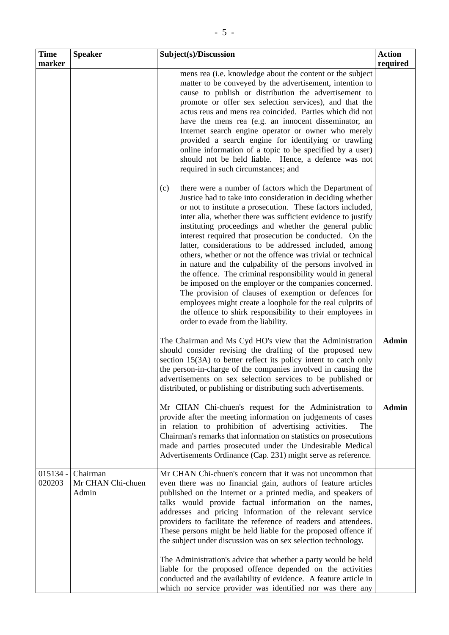| <b>Time</b>          | <b>Speaker</b>                         | Subject(s)/Discussion                                                                                                                                                                                                                                                                                                                                                                                                                                                                                                                                                                                                                                                                                                                                                                                                                                                                                                | <b>Action</b> |
|----------------------|----------------------------------------|----------------------------------------------------------------------------------------------------------------------------------------------------------------------------------------------------------------------------------------------------------------------------------------------------------------------------------------------------------------------------------------------------------------------------------------------------------------------------------------------------------------------------------------------------------------------------------------------------------------------------------------------------------------------------------------------------------------------------------------------------------------------------------------------------------------------------------------------------------------------------------------------------------------------|---------------|
| marker               |                                        |                                                                                                                                                                                                                                                                                                                                                                                                                                                                                                                                                                                                                                                                                                                                                                                                                                                                                                                      | required      |
|                      |                                        | mens rea (i.e. knowledge about the content or the subject<br>matter to be conveyed by the advertisement, intention to<br>cause to publish or distribution the advertisement to<br>promote or offer sex selection services), and that the<br>actus reus and mens rea coincided. Parties which did not<br>have the mens rea (e.g. an innocent disseminator, an<br>Internet search engine operator or owner who merely<br>provided a search engine for identifying or trawling<br>online information of a topic to be specified by a user)<br>should not be held liable. Hence, a defence was not<br>required in such circumstances; and                                                                                                                                                                                                                                                                                |               |
|                      |                                        | there were a number of factors which the Department of<br>(c)<br>Justice had to take into consideration in deciding whether<br>or not to institute a prosecution. These factors included,<br>inter alia, whether there was sufficient evidence to justify<br>instituting proceedings and whether the general public<br>interest required that prosecution be conducted. On the<br>latter, considerations to be addressed included, among<br>others, whether or not the offence was trivial or technical<br>in nature and the culpability of the persons involved in<br>the offence. The criminal responsibility would in general<br>be imposed on the employer or the companies concerned.<br>The provision of clauses of exemption or defences for<br>employees might create a loophole for the real culprits of<br>the offence to shirk responsibility to their employees in<br>order to evade from the liability. |               |
|                      |                                        | The Chairman and Ms Cyd HO's view that the Administration<br>should consider revising the drafting of the proposed new<br>section 15(3A) to better reflect its policy intent to catch only<br>the person-in-charge of the companies involved in causing the<br>advertisements on sex selection services to be published or<br>distributed, or publishing or distributing such advertisements.                                                                                                                                                                                                                                                                                                                                                                                                                                                                                                                        | <b>Admin</b>  |
|                      |                                        | Mr CHAN Chi-chuen's request for the Administration to<br>provide after the meeting information on judgements of cases<br>in relation to prohibition of advertising activities.<br>The<br>Chairman's remarks that information on statistics on prosecutions<br>made and parties prosecuted under the Undesirable Medical<br>Advertisements Ordinance (Cap. 231) might serve as reference.                                                                                                                                                                                                                                                                                                                                                                                                                                                                                                                             | <b>Admin</b>  |
| $015134 -$<br>020203 | Chairman<br>Mr CHAN Chi-chuen<br>Admin | Mr CHAN Chi-chuen's concern that it was not uncommon that<br>even there was no financial gain, authors of feature articles<br>published on the Internet or a printed media, and speakers of<br>talks would provide factual information on the names,<br>addresses and pricing information of the relevant service<br>providers to facilitate the reference of readers and attendees.<br>These persons might be held liable for the proposed offence if<br>the subject under discussion was on sex selection technology.<br>The Administration's advice that whether a party would be held<br>liable for the proposed offence depended on the activities                                                                                                                                                                                                                                                              |               |
|                      |                                        | conducted and the availability of evidence. A feature article in<br>which no service provider was identified nor was there any                                                                                                                                                                                                                                                                                                                                                                                                                                                                                                                                                                                                                                                                                                                                                                                       |               |